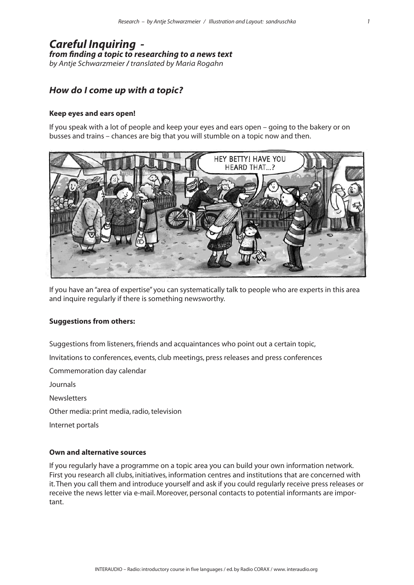# *Careful Inquiring from finding a topic to researching to a news text by Antje Schwarzmeier / translated by Maria Rogahn*

# *How do I come up with a topic?*

## **Keep eyes and ears open!**

If you speak with a lot of people and keep your eyes and ears open – going to the bakery or on busses and trains – chances are big that you will stumble on a topic now and then.



If you have an "area of expertise" you can systematically talk to people who are experts in this area and inquire regularly if there is something newsworthy.

#### **Suggestions from others:**

Suggestions from listeners, friends and acquaintances who point out a certain topic,

Invitations to conferences, events, club meetings, press releases and press conferences

Commemoration day calendar

Journals

**Newsletters** 

Other media: print media, radio, television

Internet portals

# **Own and alternative sources**

If you regularly have a programme on a topic area you can build your own information network. First you research all clubs, initiatives, information centres and institutions that are concerned with it. Then you call them and introduce yourself and ask if you could regularly receive press releases or receive the news letter via e-mail. Moreover, personal contacts to potential informants are important.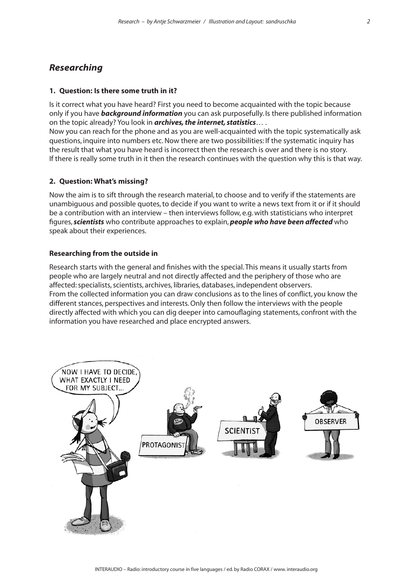# *Researching*

# **1. Question: Is there some truth in it?**

Is it correct what you have heard? First you need to become acquainted with the topic because only if you have *background information* you can ask purposefully. Is there published information on the topic already? You look in *archives, the internet, statistics*… .

Now you can reach for the phone and as you are well-acquainted with the topic systematically ask questions, inquire into numbers etc. Now there are two possibilities: If the systematic inquiry has the result that what you have heard is incorrect then the research is over and there is no story. If there is really some truth in it then the research continues with the question why this is that way.

## **2. Question: What's missing?**

Now the aim is to sift through the research material, to choose and to verify if the statements are unambiguous and possible quotes, to decide if you want to write a news text from it or if it should be a contribution with an interview – then interviews follow, e.g. with statisticians who interpret figures, *scientists* who contribute approaches to explain, *people who have been affected* who speak about their experiences.

#### **Researching from the outside in**

Research starts with the general and finishes with the special. This means it usually starts from people who are largely neutral and not directly affected and the periphery of those who are affected: specialists, scientists, archives, libraries, databases, independent observers. From the collected information you can draw conclusions as to the lines of conflict, you know the different stances, perspectives and interests. Only then follow the interviews with the people directly affected with which you can dig deeper into camouflaging statements, confront with the information you have researched and place encrypted answers.

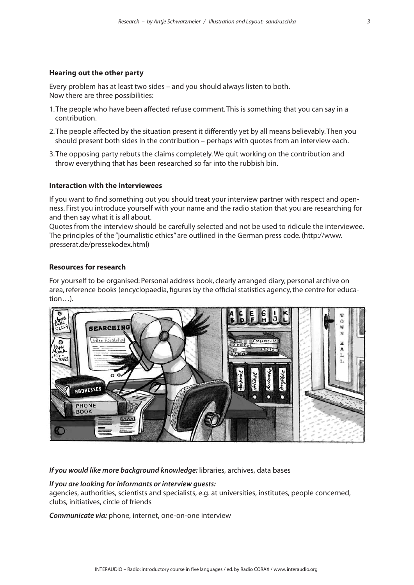### **Hearing out the other party**

Every problem has at least two sides – and you should always listen to both. Now there are three possibilities:

- 1. The people who have been affected refuse comment. This is something that you can say in a contribution.
- 2. The people affected by the situation present it differently yet by all means believably. Then you should present both sides in the contribution – perhaps with quotes from an interview each.
- 3. The opposing party rebuts the claims completely. We quit working on the contribution and throw everything that has been researched so far into the rubbish bin.

## **Interaction with the interviewees**

If you want to find something out you should treat your interview partner with respect and openness. First you introduce yourself with your name and the radio station that you are researching for and then say what it is all about.

Quotes from the interview should be carefully selected and not be used to ridicule the interviewee. The principles of the "journalistic ethics" are outlined in the German press code. (http://www. presserat.de/pressekodex.html)

## **Resources for research**

For yourself to be organised: Personal address book, clearly arranged diary, personal archive on area, reference books (encyclopaedia, figures by the official statistics agency, the centre for education…).



*If you would like more background knowledge:* libraries, archives, data bases

#### *If you are looking for informants or interview guests:*

agencies, authorities, scientists and specialists, e.g. at universities, institutes, people concerned, clubs, initiatives, circle of friends

*Communicate via:* phone, internet, one-on-one interview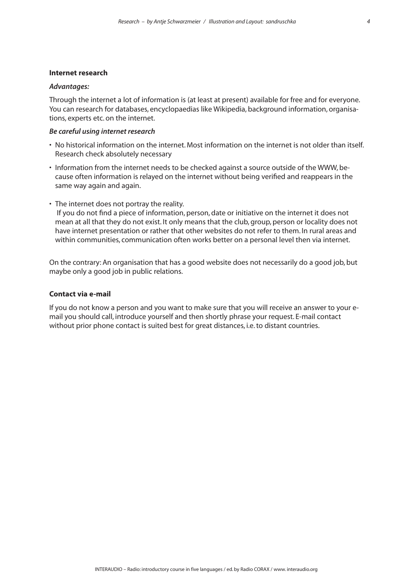#### **Internet research**

### *Advantages:*

Through the internet a lot of information is (at least at present) available for free and for everyone. You can research for databases, encyclopaedias like Wikipedia, background information, organisations, experts etc. on the internet.

#### *Be careful using internet research*

- No historical information on the internet. Most information on the internet is not older than itself. Research check absolutely necessary
- Information from the internet needs to be checked against a source outside of the WWW, because often information is relayed on the internet without being verified and reappears in the same way again and again.
- The internet does not portray the reality.

 If you do not find a piece of information, person, date or initiative on the internet it does not mean at all that they do not exist. It only means that the club, group, person or locality does not have internet presentation or rather that other websites do not refer to them. In rural areas and within communities, communication often works better on a personal level then via internet.

On the contrary: An organisation that has a good website does not necessarily do a good job, but maybe only a good job in public relations.

# **Contact via e-mail**

If you do not know a person and you want to make sure that you will receive an answer to your email you should call, introduce yourself and then shortly phrase your request. E-mail contact without prior phone contact is suited best for great distances, i.e. to distant countries.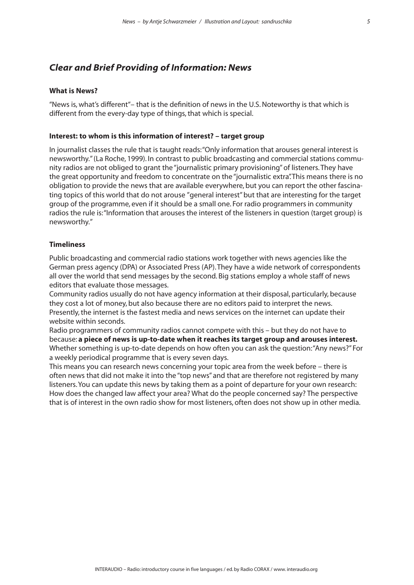# *Clear and Brief Providing of Information: News*

# **What is News?**

"News is, what's different"– that is the definition of news in the U.S. Noteworthy is that which is different from the every-day type of things, that which is special.

### **Interest: to whom is this information of interest? – target group**

In journalist classes the rule that is taught reads: "Only information that arouses general interest is newsworthy." (La Roche, 1999). In contrast to public broadcasting and commercial stations community radios are not obliged to grant the "journalistic primary provisioning" of listeners. They have the great opportunity and freedom to concentrate on the "journalistic extra". This means there is no obligation to provide the news that are available everywhere, but you can report the other fascinating topics of this world that do not arouse "general interest" but that are interesting for the target group of the programme, even if it should be a small one. For radio programmers in community radios the rule is: "Information that arouses the interest of the listeners in question (target group) is newsworthy."

#### **Timeliness**

Public broadcasting and commercial radio stations work together with news agencies like the German press agency (DPA) or Associated Press (AP). They have a wide network of correspondents all over the world that send messages by the second. Big stations employ a whole staff of news editors that evaluate those messages.

Community radios usually do not have agency information at their disposal, particularly, because they cost a lot of money, but also because there are no editors paid to interpret the news. Presently, the internet is the fastest media and news services on the internet can update their website within seconds.

Radio programmers of community radios cannot compete with this – but they do not have to because: **a piece of news is up-to-date when it reaches its target group and arouses interest.**  Whether something is up-to-date depends on how often you can ask the question: "Any news?" For a weekly periodical programme that is every seven days.

This means you can research news concerning your topic area from the week before – there is often news that did not make it into the "top news" and that are therefore not registered by many listeners. You can update this news by taking them as a point of departure for your own research: How does the changed law affect your area? What do the people concerned say? The perspective that is of interest in the own radio show for most listeners, often does not show up in other media.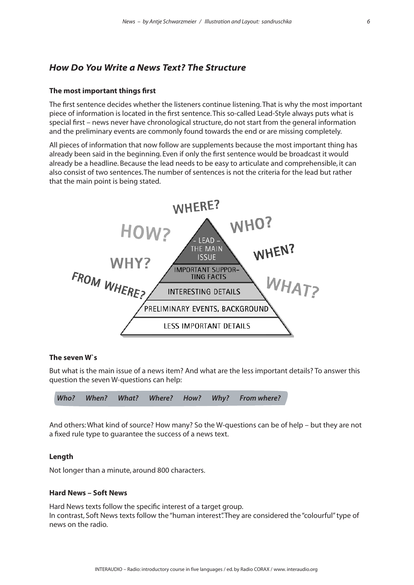# *How Do You Write a News Text? The Structure*

#### **The most important things first**

The first sentence decides whether the listeners continue listening. That is why the most important piece of information is located in the first sentence. This so-called Lead-Style always puts what is special first – news never have chronological structure, do not start from the general information and the preliminary events are commonly found towards the end or are missing completely.

All pieces of information that now follow are supplements because the most important thing has already been said in the beginning. Even if only the first sentence would be broadcast it would already be a headline. Because the lead needs to be easy to articulate and comprehensible, it can also consist of two sentences. The number of sentences is not the criteria for the lead but rather that the main point is being stated.



# **The seven W`s**

But what is the main issue of a news item? And what are the less important details? To answer this question the seven W-questions can help:

| Who? When? What? Where? How? Why? From where? |  |  |  |  |  |  |  |
|-----------------------------------------------|--|--|--|--|--|--|--|
|-----------------------------------------------|--|--|--|--|--|--|--|

And others: What kind of source? How many? So the W-questions can be of help – but they are not a fixed rule type to guarantee the success of a news text.

#### **Length**

Not longer than a minute, around 800 characters.

### **Hard News – Soft News**

Hard News texts follow the specific interest of a target group. In contrast, Soft News texts follow the "human interest". They are considered the "colourful" type of news on the radio.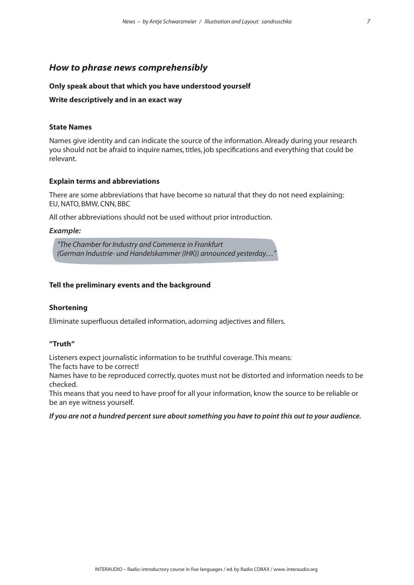# *How to phrase news comprehensibly*

# **Only speak about that which you have understood yourself**

# **Write descriptively and in an exact way**

# **State Names**

Names give identity and can indicate the source of the information. Already during your research you should not be afraid to inquire names, titles, job specifications and everything that could be relevant.

# **Explain terms and abbreviations**

There are some abbreviations that have become so natural that they do not need explaining: EU, NATO, BMW, CNN, BBC

All other abbreviations should not be used without prior introduction.

# *Example:*

*"The Chamber for Industry and Commerce in Frankfurt (German Industrie- und Handelskammer (IHK)) announced yesterday…"* 

# **Tell the preliminary events and the background**

# **Shortening**

Eliminate superfluous detailed information, adorning adjectives and fillers.

# **"Truth"**

Listeners expect journalistic information to be truthful coverage. This means:

The facts have to be correct!

Names have to be reproduced correctly, quotes must not be distorted and information needs to be checked.

This means that you need to have proof for all your information, know the source to be reliable or be an eye witness yourself.

# *If you are not a hundred percent sure about something you have to point this out to your audience.*